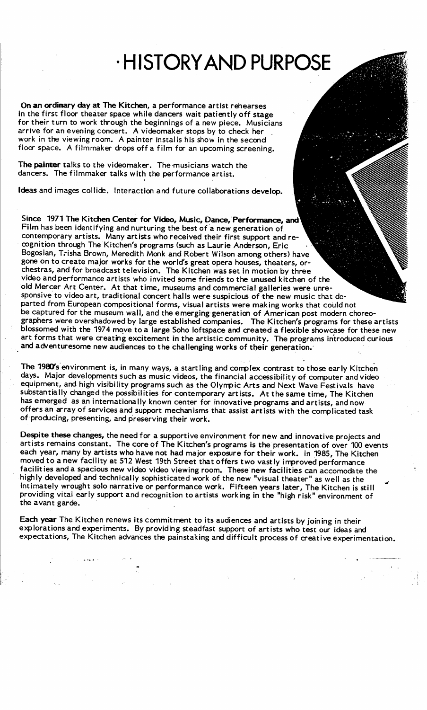## HISTORYAND PURPOSE

On an ordinary day at The Kitchen, a performance artist rehearses in the first floor theater space while dancers wait patiently off stage for their turn to work through the beginnings of a new piece. Musicians arrive for an evening concert. A videomaker stops by to check her work in the viewing room. A painter installs his show in the second floor space. A filmmaker drops off <sup>a</sup> film for an upcoming screening.

The painter talks to the videomaker. The musicians watch the dancers. The filmmaker talks with the performance artist.

Ideas and images collide. Interaction and future collaborations develop.

Since 1971 The Kitchen Center for Video, Music, Dance, Performance, and Film has been identifying and nurturing the best of a new generation of contemporary artists. Many artists who received their first support and recognition through The Kitchen's programs (such as Laurie Anderson, Eric Bogosian, T; isha Brown, Meredith Monk and Robert Wilson among others) have gone on to create major works for the world's great opera houses, theaters, orchestras, and for broadcast television. The Kitchen was set in motion by three video and performance artists who invited some friends to the unused kitchen of the old Mercer Art Center. At that time, museums and commercial galleries were unresponsive to video art, traditional concert halls were suspicious of the new music that departed from European compositional forms, visual artists were making works that could not be captured for the museum wall, and the emerging generation of American post modern choreographers were overshadowed by large established companies. The Kitchen's programs for these artists blossomed with the 1974 move to a large Soho loftspace and created a flexible showcase for these new art forms that were creating excitement in the artistic community. The programs introduced curious and adventuresome new audiences to the challenging works of their generation.

The 1980's environment is, in many ways, a startling and complex contrast to those early Kitchen days. Major developments such as music videos, the financial accessibility of computer andvideo equipment, and high visibility programs such as the Olympic Arts and Next Wave Festivals have substantially changed the possibilities for contemporary artists. At the same time, The Kitchen has emerged as an internationally known center for innovative programs and artists, and now offers an array of services and support mechanisms that assist artists with the complicated task of producing, presenting, and preserving their work .

Despite these changes, the need for <sup>a</sup> supportive environment for new and innovative projects and artists remains constant. The core of The Kitchen's programs is the presentation of over 100 events each year, many by artists who have not had major exposure for their work. in 1985, The Kitchen moved to a new facility at 512 West 19th Street that offers two vastly improved performance facilities and <sup>a</sup> spacious new video video viewing room. These new facilities can accomodate the highly developed and technically sophisticated work of the new "visual theater" as well as the intimately wrought solo narrative or performance work . Fifteen years later, The Kitchen is still providing vital early support and recognition to artists working in the "high risk" environment of the avant garde.

Each year The Kitchen renews its commitment to its audiences and artists by joining in their explorations and experiments. By providing steadfast support of artists who test our ideas and expectations, The Kitchen advances the painstaking and difficult process of creative experimentation.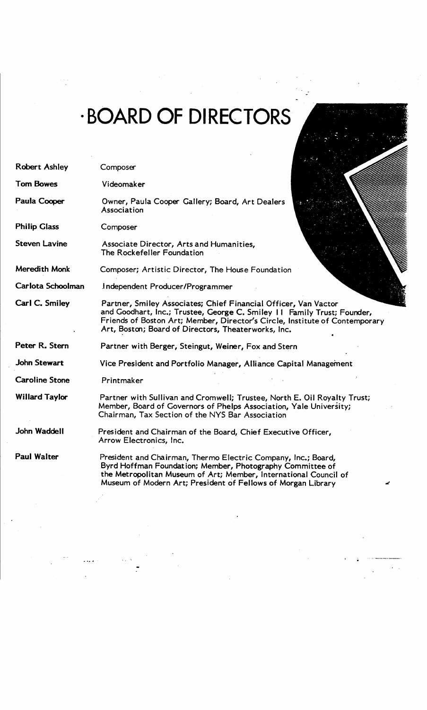## BOARD OF DIRECTORS

| <b>Robert Ashley</b>  | Composer                                                                                                                                                                                                                                                                         |  |  |
|-----------------------|----------------------------------------------------------------------------------------------------------------------------------------------------------------------------------------------------------------------------------------------------------------------------------|--|--|
| <b>Tom Bowes</b>      | Videomaker                                                                                                                                                                                                                                                                       |  |  |
| Paula Cooper          | Owner, Paula Cooper Gallery; Board, Art Dealers<br>Association                                                                                                                                                                                                                   |  |  |
| <b>Philip Glass</b>   | Composer                                                                                                                                                                                                                                                                         |  |  |
| <b>Steven Lavine</b>  | Associate Director, Arts and Humanities,<br>The Rockefeller Foundation                                                                                                                                                                                                           |  |  |
| Meredith Monk         | Composer; Artistic Director, The House Foundation                                                                                                                                                                                                                                |  |  |
| Carlota Schoolman     | Independent Producer/Programmer                                                                                                                                                                                                                                                  |  |  |
| Carl C. Smiley        | Partner, Smiley Associates; Chief Financial Officer, Van Vactor<br>and Goodhart, Inc.; Trustee, George C. Smiley 11 Family Trust; Founder,<br>Friends of Boston Art; Member, Director's Circle, Institute of Contemporary<br>Art, Boston; Board of Directors, Theaterworks, Inc. |  |  |
| Peter R. Stern        | Partner with Berger, Steingut, Weiner, Fox and Stern                                                                                                                                                                                                                             |  |  |
| <b>John Stewart</b>   | Vice President and Portfolio Manager, Alliance Capital Management                                                                                                                                                                                                                |  |  |
| <b>Caroline Stone</b> | Printmaker                                                                                                                                                                                                                                                                       |  |  |
| <b>Willard Taylor</b> | Partner with Sullivan and Cromwell; Trustee, North E. Oil Royalty Trust;<br>Member, Board of Governors of Phelps Association, Yale University;<br>Chairman, Tax Section of the NYS Bar Association                                                                               |  |  |
| <b>John Waddell</b>   | President and Chairman of the Board, Chief Executive Officer,<br>Arrow Electronics, Inc.                                                                                                                                                                                         |  |  |
| <b>Paul Walter</b>    | President and Chairman, Thermo Electric Company, Inc.; Board,<br>Byrd Hoffman Foundation; Member, Photography Committee of<br>the Metropolitan Museum of Art; Member, International Council of<br>Museum of Modern Art; President of Fellows of Morgan Library<br>◢              |  |  |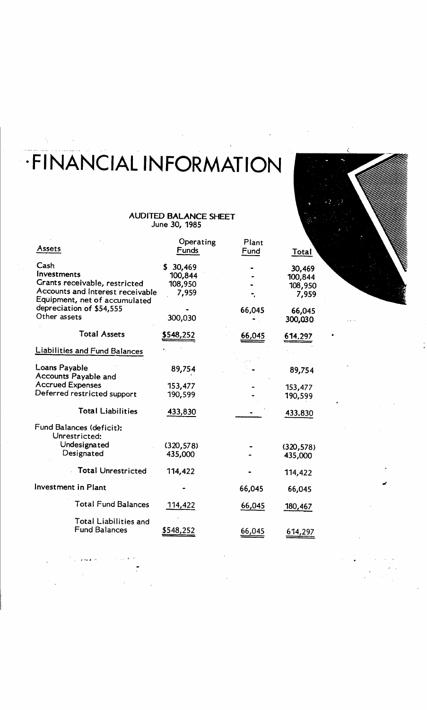# FINANCIAL INFORMATION

### AUDITED BALANCE SHEET June 30, 1985

| Assets                                                                                                                    | Operating<br>Funds                    | Plant<br>Fund | Total                                 |
|---------------------------------------------------------------------------------------------------------------------------|---------------------------------------|---------------|---------------------------------------|
| Cash<br>Investments<br>Grants receivable, restricted<br>Accounts and Interest receivable<br>Equipment, net of accumulated | 30,469<br>100,844<br>108,950<br>7,959 |               | 30,469<br>100,844<br>108,950<br>7,959 |
| depreciation of \$54,555<br>Other assets                                                                                  | 300,030                               | 66,045        | 66,045<br>300,030                     |
| <b>Total Assets</b>                                                                                                       | <u>\$548,252</u>                      | 66,045        | 614,297                               |
| <b>Liabilities and Fund Balances</b>                                                                                      |                                       |               |                                       |
| Loans Payable<br>Accounts Payable and                                                                                     | 89,754                                |               | 89,754                                |
| <b>Accrued Expenses</b><br>Deferred restricted support                                                                    | 153,477<br>190,599                    |               | 153,477<br>190,599                    |
| <b>Total Liabilities</b>                                                                                                  | 433,830                               |               | 433.830                               |
| Fund Balances (deficit):<br>Unrestricted:                                                                                 |                                       |               |                                       |
| Undesignated<br>Designated                                                                                                | (320, 578)<br>435,000                 |               | (320, 578)<br>435,000                 |
| <b>Total Unrestricted</b>                                                                                                 | 114,422                               |               | 114,422                               |
| Investment in Plant                                                                                                       |                                       | 66,045        | 66,045                                |
| <b>Total Fund Balances</b>                                                                                                | 114,422                               | 66,045        | <u>180,467</u>                        |
| <b>Total Liabilities and</b><br><b>Fund Balances</b>                                                                      | \$548,252                             | 66,045        | 614,297                               |

 $\ddot{\cdot}$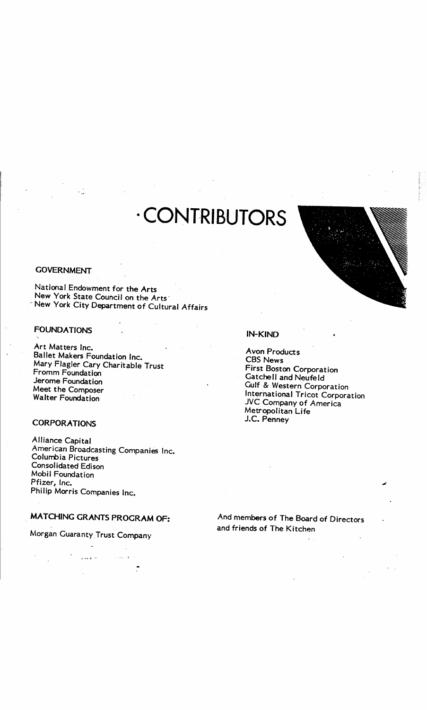## CONTRIBUTORS

#### **GOVERNMENT**

National Endowment for the Arts New York State Council on the Arts' ' New York City Department of Cultural Affairs

### FOUNDATIONS

Art Matters Inc. Ballet Makers Foundation Inc. Mary Flagler Cary Charitable Trust Fromm Foundation Jerome Foundation Meet the Composer Walter Foundation

### **CORPORATIONS**

Alliance Capital American Broadcasting Companies Inc. Columbia Pictures Consolidated Edison Mobil Foundation Pfizer, Inc. Philip Morris Companies Inc.

### MATCHING GRANTS PROGRAM OF:

### Morgan Guaranty Trust Company

 $\overline{a}$  ,  $\overline{a}$  ,  $\overline{a}$  $\ddot{\cdot}$ 



#### IN-KIND

Avon Products CBS News First Boston Corporation GatcheII and Neufeld Gulf & Western Corporation International Tricot Corporation JVC Company of America Metropolitan Life J.C. Penney

And members of The Board of Directors and friends of The Kitchen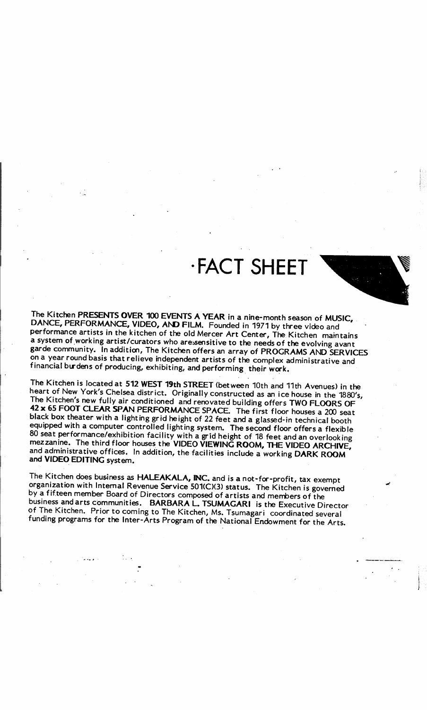### -FACT SHEET



The Kitchen PRESENTS OVER 100 EVENTS A YEAR in a nine-month season of MUSIC,<br>DANCE, PERFORMANCE, VIDEO, AND FILM. Founded in 1971 by three video and performance artists in the kitchen of the old Mercer Art Center, The Kitchen maintains<br>a system of working artist/curators who aressensitive to the needs of the evolving avant garde community. In addition, The Kitchen offers an array of PROGRAMS AND SERVICES on <sup>a</sup> year round basis that relieve independent artists of the complex administrative and financial burdens of producing, exhibiting, and performing their work .

The Kitchen is located at 512 WEST 19th STREET (between 10th and 11th Avenues) in the<br>heart of New York's Chelsea district. Originally constructed as an ice house in the 1880's,<br>The Kitchen's new fully air conditioned and

The Kitchen does business as HALEAKALA, INC. and is a not-for-profit, tax exempt<br>organization with Internal Revenue Service 501(C)(3) status. The Kitchen is governed<br>by a fifteen member Board of Directors composed of artis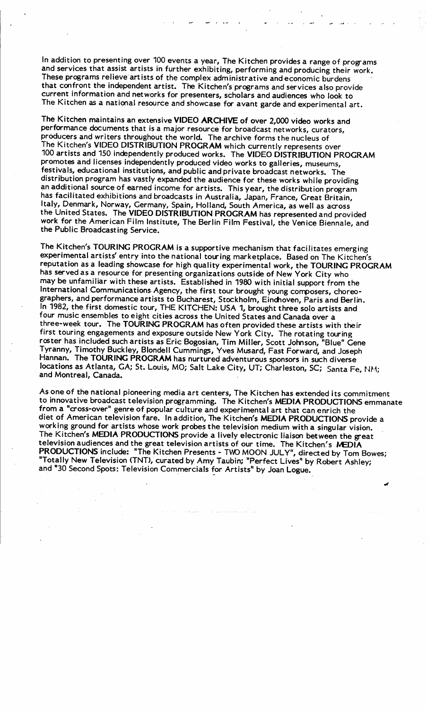In addition to presenting over 100 events <sup>a</sup> year, The Kitchen provides <sup>a</sup> range of programs and services that assist artists in further exhibiting, performing and producing their work. These programs relieve artists of the complex administrative and economic burdens that confront the independent artist. The Kitchen's programs and services also provide current information and networks for presenters, scholars and audiences who look to The Kitchen as a national resource and showcase for avant garde and experimental art.

The Kitchen maintains an extensive VIDEO ARCHIVE of over 2,000 video works and performance documents that is a major resource for broadcast networks, curators, producers and writers throughout the world. The archive forms the nucleus of The Kitchen's VIDEO DISTRIBUTION PROGRAM which currently represents over <sup>100</sup> artists and <sup>150</sup> independently produced works. The VIDEO DISTRIBUTION PROGRAM promotes and licenses independently produced video works to galleries, museums, festivals, educational institutions, and public and private broadcast networks. The distribution program has vastly expanded the audience for these works while providing an additional source of earned income for artists. This year, the distribution program has facilitated exhibitions and broadcasts in Australia, Japan, France, Great Britain, Italy, Denmark, Norway, Germany, Spain, Holland, South America, as well as across the United States. The VIDEO DISTRIBUTION PROGRAM has represented and provided work for the American Film Institute, The Berlin Film Festival, the Venice Biennale, and the Public Broadcasting Service.

The Kitchen's TOURING PROGRAM is a supportive mechanism that facilitates emerging experimental artists' entry into the national touring marketplace. Based on The Kitchen's reputation as <sup>a</sup> leading showcase for high quality experimental work, the TOURING PROGRAM has served as <sup>a</sup> resource for presenting organizations outside of New York City who may be unfamiliar with these artists. Established in 1980 with initial support from the International Communications. Agency, the first tour brought young composers, choreographers, and performance artists to Bucharest, Stockholm, Eindhoven, Paris and Berlin . In 1982, the first domestic tour, THE KITCHEN: USA 1, brought three solo artists and four music ensembles to eight cities across the United States and Canada over a three-week tour. The TOURING PROGRAM has often provided these artists with their first touring engagements and exposure outside New York City. The rotating touring roster has included such artists as Eric Bogosian, Tim Miller, Scott Johnson, "Blue" Gene Tyranny, Timothy Buckley, Blondell Cummings, Yves Musard, Fast Forward, and Joseph Hannan. The TOURING PROGRAM has nurtured adventurous sponsors in such diverse locations as Atlanta, GA; St. Louis, MO; Salt Lake City, UT; Charleston, SC; Santa Fe, NM; and Montreal, Canada.

As one of the national pioneering media art centers, The Kitchen has extended its commitment to innovative broadcast television programming. The Kitchen's MEDIA PRODUCTIONS emmanate from a "cross-over" genre of popular culture and experimental art that can enrich the diet of American television fare. In addition, The Kitchen's MEDIA PRODUCTIONS provide a working ground for artists whose work probes the television medium with a singular vision. The Kitchen's MEDIA PRODUCTIONS provide a lively electronic liaison between the great television audiences and the great television artists of our time. The Kitchen's MEDIA PRODUCTIONS include: "The Kitchen Presents - TWO MOON JULY", directed by Tom Bowes; "Totally New Television (TNT), curated by Amy Taubin; "Perfect Lives" by Robert Ashley; and "30 Second Spots: Television Commercials for Artists" by Joan Logue.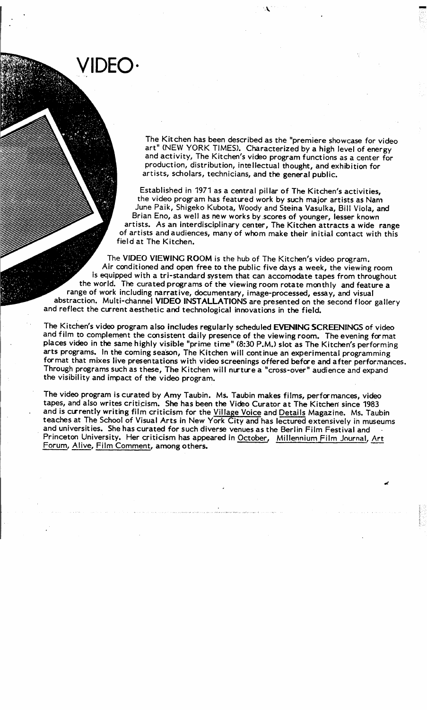VIDEO-

The Kitchen has been described as the "premiere showcase for video art" (NEW YORK TIMES). Characterized by a high level of energy and activity, The Kitchen's video program functions as <sup>a</sup> center for production, distribution, intellectual thought, and exhibition for artists, scholars, technicians, and the general public.

Established in 1971 as a central pillar of The Kitchen's activities, the video program has featured work by such major artists as Nam June Paik, Shigeko Kubota, Woody and Steina Vasulka, Bill Viola, and Brian Eno, as well as new works by scores of younger, lesser known artists. As an interdisciplinary center, The Kitchen attracts a wide range of artists and audiences, many of whom make their initial contact with this field at The Kitchen.

The VIDEO VIEWING ROOM is the hub of The Kitchen's video program. Air conditioned and open free to the public five days a week, the viewing room is equipped with a tri-standard system that can accomodate tapes from throughout the world. The curated programs of the viewing room rotate monthly and feature a range of work including narrative, documentary, image-processed, essay, and visual abstraction. Multi-channel VIDEO INSTALLATIONS are presented on the second floor gallery and reflect the current aesthetic and technological innovations in the field.

The Kitchen's video program also includes regularly scheduled EVENING SCREENINGS of video and film to complement the consistent daily presence of the viewing room. The evening format places video in the same highly visible "prime time" (8:30 P.M.) slot as The Kitchen's performing arts programs. In the coming season, The Kitchen will continue an experimental programming format that mixes live presentations with video screenings offered before and after performances. Through programs such as these, The Kitchen will nurture <sup>a</sup> "cross-over" audience and expand the visibility and impact of the video program.

The video program is curated by Amy Taubin. Ms. Taubin makes films, performances, video tapes, and also writes criticism. She has been the Video Curator at The Kitchen since 1983 and is currently writing film criticism for the Village Voice and Details Magazine. Ms. Taubin teaches at The School of Visual Arts in New York City and has lectured extensively in museums and universities. She has curated for such diverse venues as the Berlin Film Festival and Princeton University. Her criticism has appeared in October, Millennium Film Journal, Art Forum, Alive, Film Comment, among others.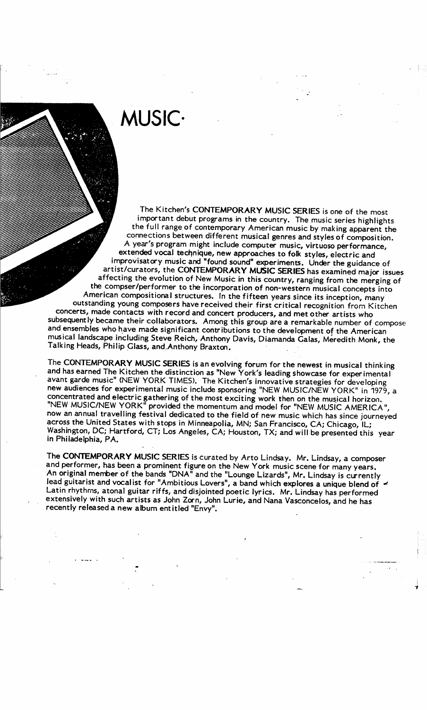### MUSIC

The Kitchen's CONTEMPORARY MUSIC SERIES is one of the most<br>important debut programs in the country. The music series highlights<br>the full range of contemporary American music by making apparent the<br>connections between diffe <sup>A</sup> year's program might include computer music, virtuoso performance, extended vocal technique, new approaches to folk styles, electric and artist/curators, the CONTEMPORARY MUSIC SERIES has examined major issues<br>affecting the evolution of New Music in this country, ranging from the merging of<br>the compser/performer to the incorporation of non-western musical c

The CONTEMPORARY MUSIC SERIES is an evolving forum for the newest in musical thinking<br>and has earned The Kitchen the distinction as "New York's leading showcase for experimental<br>avant garde music" (NEW YORK TIMES). The Kit new audiences for experimental music include sponsoring "NEW MUSIC/NEW YORK" in 1979, <sup>a</sup> concentrated and electric gathering of the most exciting work then on the musical horizon . "NEW MUSIC/NEW YORK" provided the momentum and model for "NEW MUSIC AMERICA", now an annual travelling festival dedicated to the field of new music which has since journeyed across the United States with stops in Minneapolia, MN; San Francisco, CA; Chicago, IL; Washington, DC; Hartford, CT; Los Angeles, CA; Houston, TX; and will be presented this year in Philadelphia, PA.

The CONTEMPORARY MUSIC SERIES is curated by Arto Lindsay. Mr. Lindsay, <sup>a</sup> composer and performer, has been <sup>a</sup> prominent figure on the New York music scene for many years . An original member of the bands "DNA" and the "Lounge Lizards", Mr. Lindsay is currently lead guitarist and vocalist for "Ambitious Lovers", a band which explores a unique blend of Latin rhythms, atonal guitar riffs, and disjointed poetic lyrics. Mr. Lindsay has performed extensively with such artists as John Zorn, John Lurie, and Nana Vasconcelos, and he has recently released <sup>a</sup> new album entitled "Envy".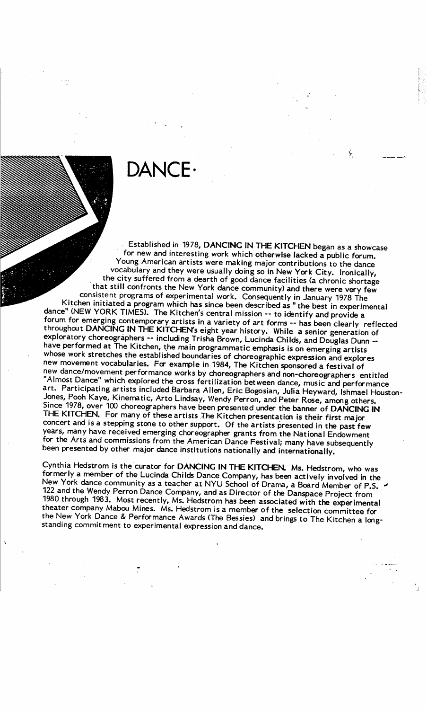## DANCE.

Established in 1978, DANCING IN THE KITCHEN began as a showcase<br>for new and interesting work which otherwise lacked a public forum.<br>Young American artists were making major contributions to the dance vocabulary and they were usually doing so in New York City. Ironically,<br>the city suffered from a dearth of good dance facilities (a chronic shortage<br>that still confronts the New York dance community) and there were very fe throughout DANCING IN THE KITCHEN's eight year history. While a senior generation of<br>exploratory choreographers -- including Trisha Brown, Lucinda Childs, and Douglas Dunn --<br>have performed at The Kitchen, the main program THE KITCHEN. For many of these artists The Kitchen presentation is their first major<br>concert and is a stepping stone to other support. Of the artists presented in the past few<br>years, many have received emerging choreograph for the Arts and commissions from the American Dance Festival; many have subsequently been presented by other major dance institutions nationally and internationally.

Cynthia Hedstrom is the curator for DANCING IN THE KITCHEN. Ms. Hedstrom, who was formerly a member of the Lucinda Childs Dance Company, has been actively involved in the New York dance community as a teacher at NYU School 1980 through 1983. Most recently, Ms. Hedstrom has been associated with the experimental theater company Mabou Mines. Ms. Hedstrom is a member of the selection committee for the New York Dance & Performance Awards (The Bes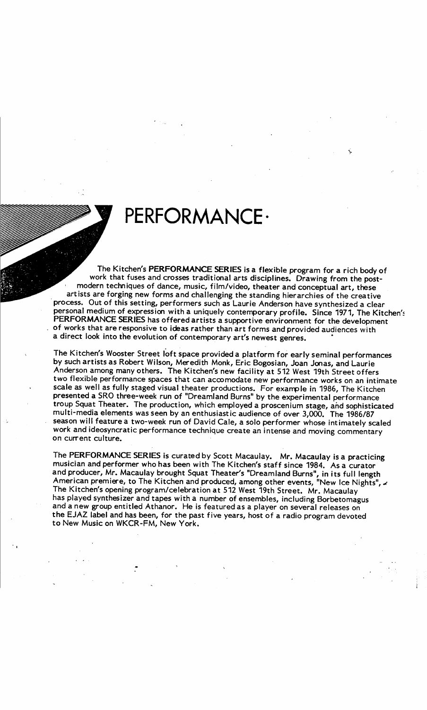## PERFORMANCE-

The Kitchen's PERFORMANCE SERIES is <sup>a</sup> flexible program for <sup>a</sup> rich body of work that fuses and crosses traditional arts disciplines . Drawing from the postmodern techniques of dance, music, film/video, theater and conceptual art, these artists are forging new forms and challenging the standing hierarchies of the creative process. Out of this setting, performers such as Laurie Anderson have synthesized a clear<br>personal medium of expression with a uniquely contemporary profile. Since 1971, The Kitchen's PERFORMANCE SERIES has offered artists a supportive environment for the development of works that are responsive to ideas rather than art forms and provided audiences with a direct look into the evolution of contemporary art's newest genres.

The Kitchen's Wooster Street loft space provided <sup>a</sup> platform for early seminal performances by such artists as Robert Wilson, Meredith Monk, Eric Bogosian, Joan Jonas, and Laurie Anderson among many others. The Kitchen's new facility at 512 West 19th Street offers two flexible performance spaces that can accomodate new performance works on an intimate scale as well as fully staged visual theater productions. For example in 1986, The Kitchen presented <sup>a</sup> SRO three-week run of "Dreamland Burns" by the experimental performance troup Squat Theater. The production, which employed a proscenium stage, ahd sophisticated multi-media elements was seen by an enthusiastic audience of over 3,000. The 1986/87<br>season will feature a two-week run of David Cale, a solo performer whose intimately scaled work and ideosyncratic performance technique create an intense and moving commentary on current culture.

The PERFORMANCE SERIES is curated by Scott Macaulay. Mr. Macaulay is a practicing musician and performer who has been with The Kitchen's staff since 1984. As a curator and producer, Mr. Macaulay brought Squat Theater's "Dreamland Burns", in its full length American premiere, to The Kitchen and produced, among other events, "New Ice Nights",  $\star$ <br>The Kitchen's aparing pregnant (alabastics of 543 W + 49th G) The Kitchen's opening program/celebration at 512 West 19th Street. Mr. Macaulay has played synthesizer and tapes with a number of ensembles, including Borbetomagus and a new group entitled Athanor. He is featured as <sup>a</sup> player on several releases on the EJAZ label and has been, for the past five years, host of <sup>a</sup> radio program devoted to New Music on WKCR-FM, New York .